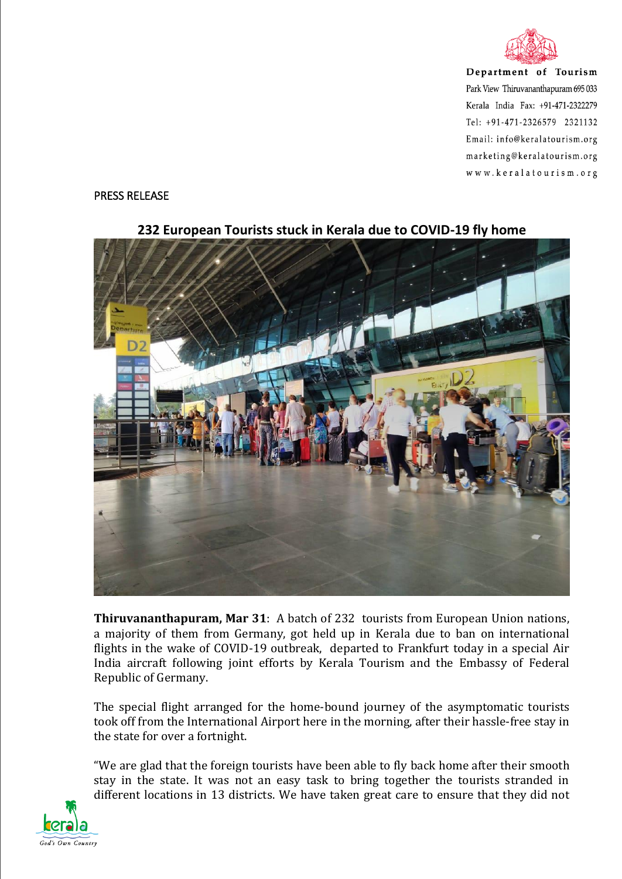

Department of Tourism Park View Thiruvananthapuram 695 033 Kerala India Fax: +91-471-2322279 Tel: +91-471-2326579 2321132 Email: info@keralatourism.org marketing@keralatourism.org www.keralatourism.org

## PRESS RELEASE



**232 European Tourists stuck in Kerala due to COVID-19 fly home**

**Thiruvananthapuram, Mar 31**: A batch of 232 tourists from European Union nations, a majority of them from Germany, got held up in Kerala due to ban on international flights in the wake of COVID-19 outbreak, departed to Frankfurt today in a special Air India aircraft following joint efforts by Kerala Tourism and the Embassy of Federal Republic of Germany.

The special flight arranged for the home-bound journey of the asymptomatic tourists took off from the International Airport here in the morning, after their hassle-free stay in the state for over a fortnight.

"We are glad that the foreign tourists have been able to fly back home after their smooth stay in the state. It was not an easy task to bring together the tourists stranded in different locations in 13 districts. We have taken great care to ensure that they did not

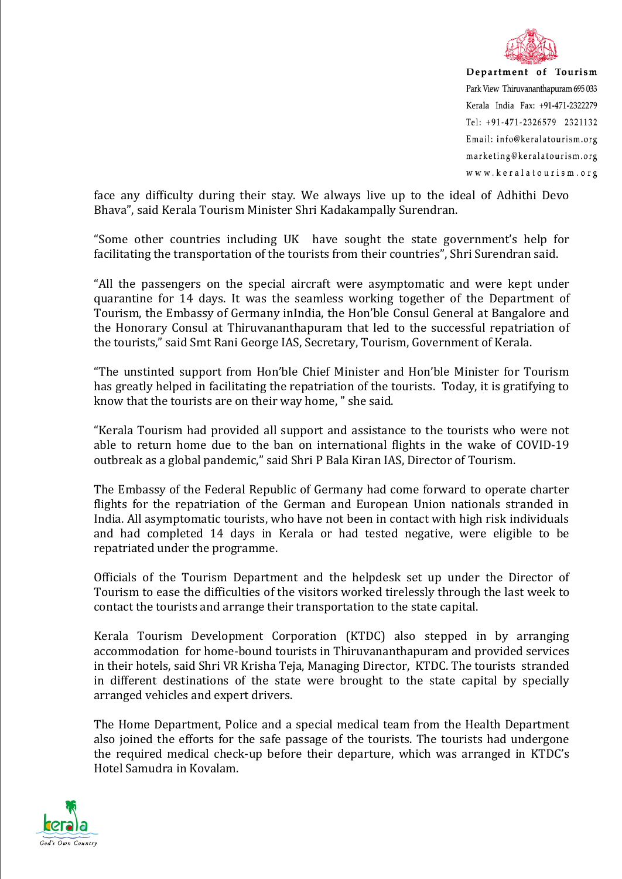

Department of Tourism Park View Thiruvananthapuram 695 033 Kerala India Fax: +91-471-2322279 Tel: +91-471-2326579 2321132 Email: info@keralatourism.org marketing@keralatourism.org www.keralatourism.org

face any difficulty during their stay. We always live up to the ideal of Adhithi Devo Bhava", said Kerala Tourism Minister Shri Kadakampally Surendran.

"Some other countries including UK have sought the state government's help for facilitating the transportation of the tourists from their countries", Shri Surendran said.

"All the passengers on the special aircraft were asymptomatic and were kept under quarantine for 14 days. It was the seamless working together of the Department of Tourism, the Embassy of Germany inIndia, the Hon'ble Consul General at Bangalore and the Honorary Consul at Thiruvananthapuram that led to the successful repatriation of the tourists," said Smt Rani George IAS, Secretary, Tourism, Government of Kerala.

"The unstinted support from Hon'ble Chief Minister and Hon'ble Minister for Tourism has greatly helped in facilitating the repatriation of the tourists. Today, it is gratifying to know that the tourists are on their way home, " she said.

"Kerala Tourism had provided all support and assistance to the tourists who were not able to return home due to the ban on international flights in the wake of COVID-19 outbreak as a global pandemic," said Shri P Bala Kiran IAS, Director of Tourism.

The Embassy of the Federal Republic of Germany had come forward to operate charter flights for the repatriation of the German and European Union nationals stranded in India. All asymptomatic tourists, who have not been in contact with high risk individuals and had completed 14 days in Kerala or had tested negative, were eligible to be repatriated under the programme.

Officials of the Tourism Department and the helpdesk set up under the Director of Tourism to ease the difficulties of the visitors worked tirelessly through the last week to contact the tourists and arrange their transportation to the state capital.

Kerala Tourism Development Corporation (KTDC) also stepped in by arranging accommodation for home-bound tourists in Thiruvananthapuram and provided services in their hotels, said Shri VR Krisha Teja, Managing Director, KTDC. The tourists stranded in different destinations of the state were brought to the state capital by specially arranged vehicles and expert drivers.

The Home Department, Police and a special medical team from the Health Department also joined the efforts for the safe passage of the tourists. The tourists had undergone the required medical check-up before their departure, which was arranged in KTDC's Hotel Samudra in Kovalam.